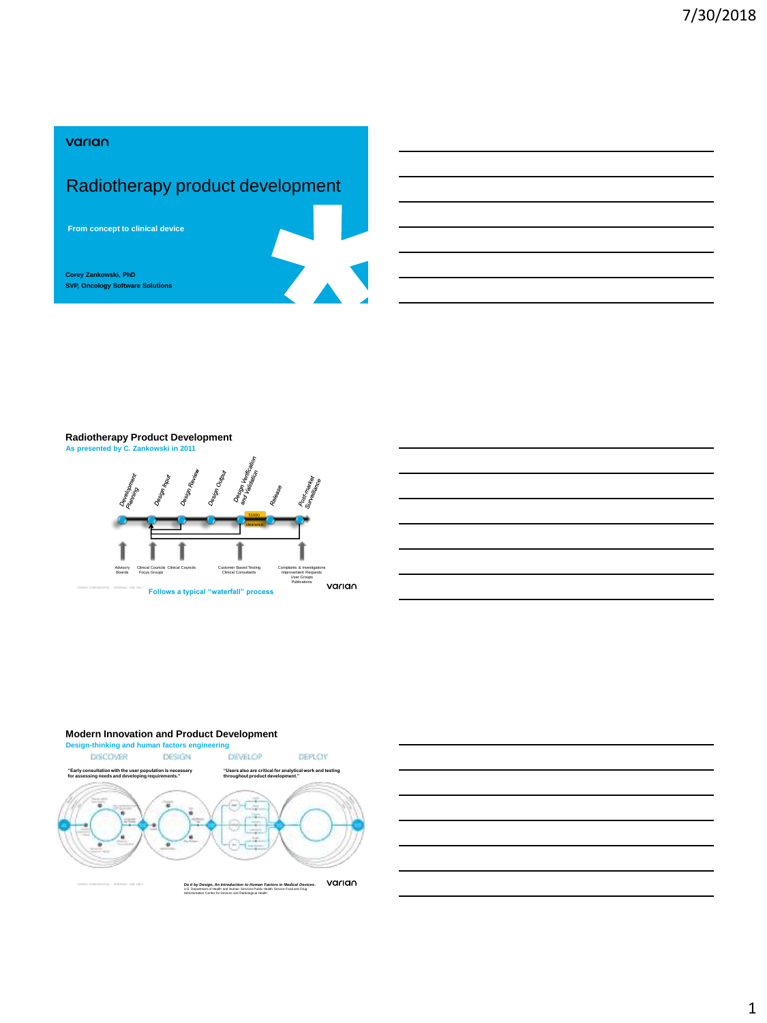### varian

# Radiotherapy product development

**From concept to clinical device**

**SVP, Oncology Software Solutions Corey Zankowski, PhD**



Complaints & Investigations Improvement Requests User Groups Publications

varian

# **Radiotherapy Product Development**<br>As presented by C. Zankowski in 2011

Clinical Councils Focus Groups

VARIAN CONFIDENTIAL – INTERNAL USE ONLY

Advisory Boards



Clinical Councils Customer Based Testing Clinical Consultants

**Follows a typical "waterfall" process**

#### **Modern Innovation and Product Development**



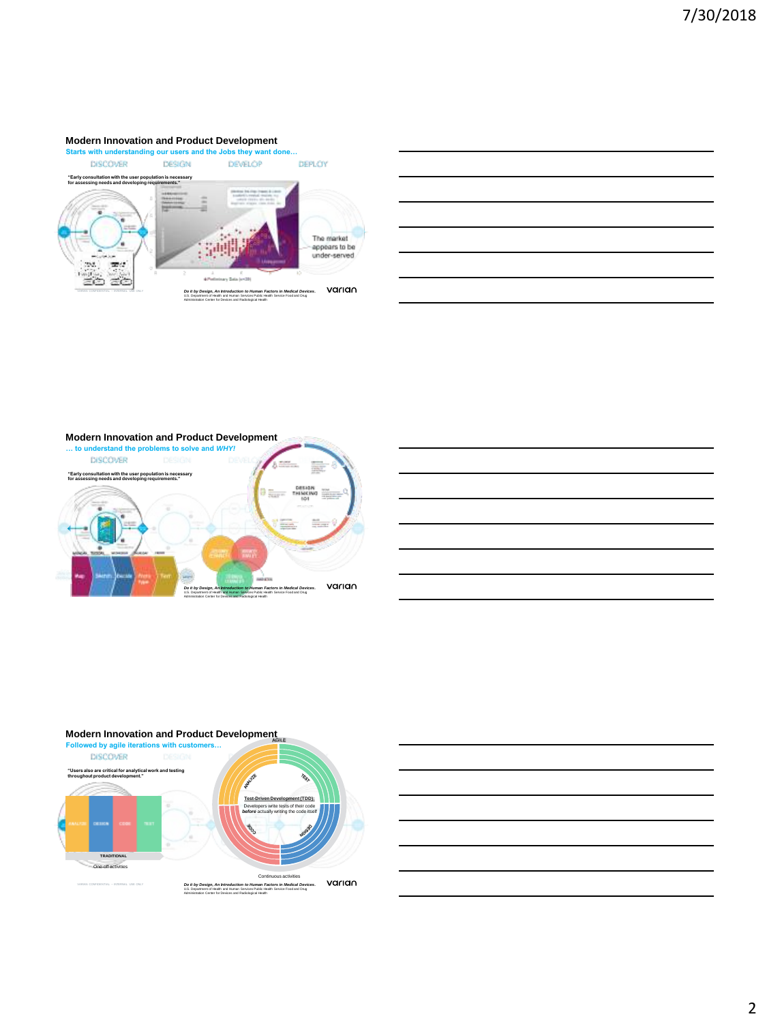#### **Modern Innovation and Product Development**





**Modern Innovation and Product Development … to understand the problems to solve and** *WHY!* **DISCOVER** 赢 **"Early consultation with the user population is necessary for assessing needs and developing requirements."** n.<br>No varian VARIAN CONFIDENTIAL – INTERNAL USE ONLY *Do it by Design, An Introduction to Human Factors in Medical Devices***.**  U.S. Department of Health and Human Services Public Health Service Food and Drug Administration Center for Devices and Radiological Health



#### **Modern Innovation and Product Development**



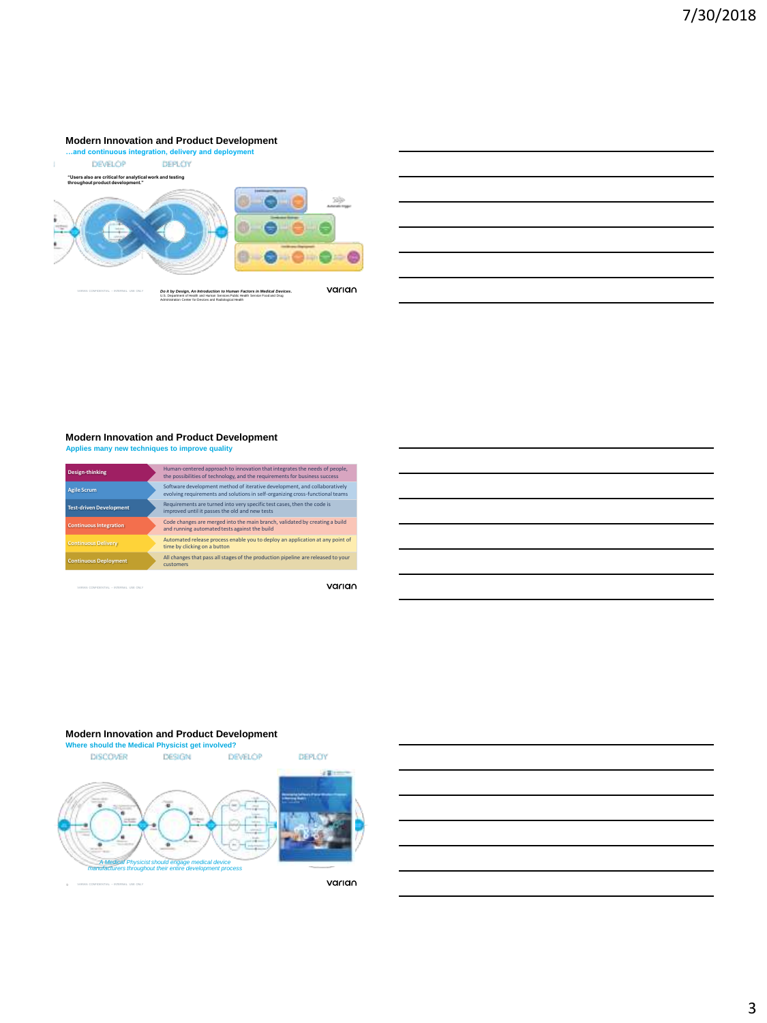#### **Modern Innovation and Product Development**



## **Modern Innovation and Product Development**

**Applies many new techniques to improve quality**

| <b>Design-thinking</b>         | Human-centered approach to innovation that integrates the needs of people.<br>the possibilities of technology, and the requirements for business success   |
|--------------------------------|------------------------------------------------------------------------------------------------------------------------------------------------------------|
| <b>Agile Scrum</b>             | Software development method of iterative development, and collaboratively<br>evolving requirements and solutions in self-organizing cross-functional teams |
| <b>Test-driven Development</b> | Requirements are turned into yery specific test cases, then the code is<br>improved until it passes the old and new tests                                  |
| <b>Continuous Integration</b>  | Code changes are merged into the main branch, validated by creating a build<br>and running automated tests against the build                               |
| <b>Continuous Delivery</b>     | Automated release process enable you to deploy an application at any point of<br>time by clicking on a button                                              |
| <b>Continuous Deployment</b>   | All changes that pass all stages of the production pipeline are released to your<br><b>CUSTOMPTS</b>                                                       |
|                                |                                                                                                                                                            |

VARIAN CONFIDENTIAL – INTERNAL USE ONLY

VARIAN CONFIDENTIAL – INTERNAL USE ONLY

varian

#### **Modern Innovation and Product Development**



varian